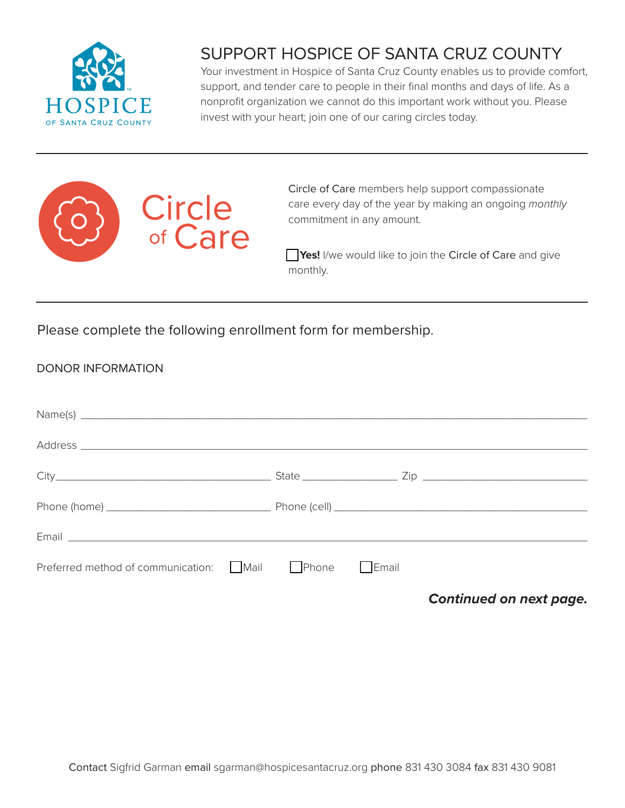

## SUPPORT HOSPICE OF SANTA CRUZ COUNTY

Your investment in Hospice of Santa Cruz County enables us to provide comfort, support, and tender care to people in their final months and days of life. As a nonprofit organization we cannot do this important work without you. Please invest with your heart; join one of our caring circles today.



Circle of Care members help support compassionate care every day of the year by making an ongoing *monthly*  commitment in any amount.

**Yes!** I/we would like to join the Circle of Care and give monthly.

Please complete the following enrollment form for membership.

| <b>DONOR INFORMATION</b> |  |
|--------------------------|--|
|                          |  |

| Email <u>and the community of the community of the community of the community of the community of the community of the community of the community of the community of the community of the community of the community of the com</u> |              |
|--------------------------------------------------------------------------------------------------------------------------------------------------------------------------------------------------------------------------------------|--------------|
| Preferred method of communication: Mail Phone                                                                                                                                                                                        | $\Box$ Email |

*Continued on next page.*